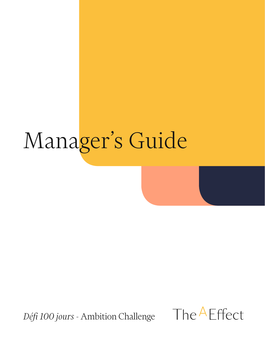# Manager's Guide

*Défi 100 jours* - Ambition Challenge

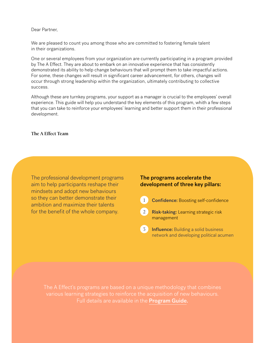#### Dear Partner,

We are pleased to count you among those who are committed to fostering female talent in their organizations.

One or several employees from your organization are currently participating in a program provided by The A Effect. They are about to embark on an innovative experience that has consistently demonstrated its ability to help change behaviours that will prompt them to take impactful actions. For some, these changes will result in significant career advancement, for others, changes will occur through strong leadership within the organization, ultimately contributing to collective success.

Although these are turnkey programs, your support as a manager is crucial to the employees' overall experience. This guide will help you understand the key elements of this program, whith a few steps that you can take to reinforce your employees' learning and better support them in their professional development.

#### The A Effect Team

The professional development programs aim to help participants reshape their mindsets and adopt new behaviours so they can better demonstrate their ambition and maximize their talents for the benefit of the whole company.

## The programs accelerate the development of three key pillars:

1 **Confidence:** Boosting self-confidence

2 Risk-taking: Learning strategic risk management

3 **Influence:** Building a solid business network and developing political acumen

The A Effect's programs are based on a unique methodology that combines various learning strategies to reinforce the acquisition of new behaviours. Full details are available in the **Program Guide.**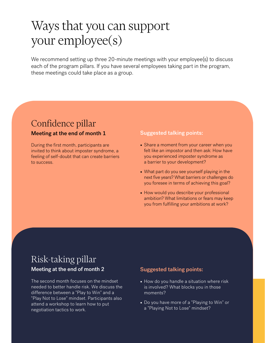## Ways that you can support your employee(s)

We recommend setting up three 20-minute meetings with your employee(s) to discuss each of the program pillars. If you have several employees taking part in the program, these meetings could take place as a group.

## Confidence pillar

## Meeting at the end of month 1

During the first month, participants are invited to think about imposter syndrome, a feeling of self-doubt that can create barriers to success.

## Suggested talking points:

- Share a moment from your career when you felt like an impostor and then ask: How have you experienced imposter syndrome as a barrier to your development?
- What part do you see yourself playing in the next five years? What barriers or challenges do you foresee in terms of achieving this goal?
- How would you describe your professional ambition? What limitations or fears may keep you from fulfilling your ambitions at work?

## Risk-taking pillar Meeting at the end of month 2

The second month focuses on the mindset needed to better handle risk. We discuss the difference between a "Play to Win" and a "Play Not to Lose" mindset. Participants also attend a workshop to learn how to put negotiation tactics to work.

## Suggested talking points:

- How do you handle a situation where risk is involved? What blocks you in those moments?
- Do you have more of a "Playing to Win" or a "Playing Not to Lose" mindset?